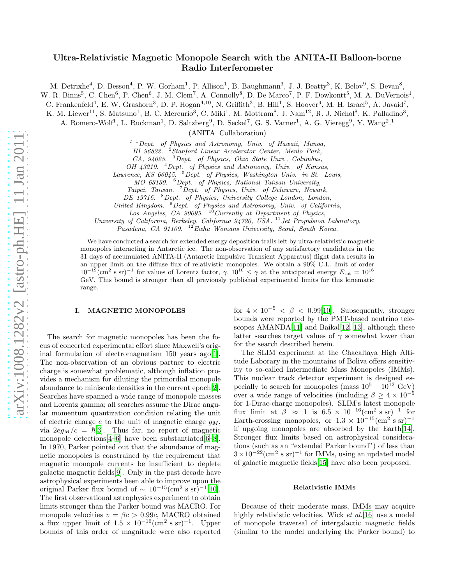# arXiv:1008.1282v2 [astro-ph.HE] 11 Jan 2011 [arXiv:1008.1282v2 \[astro-ph.HE\] 11 Jan 2011](http://arxiv.org/abs/1008.1282v2)

# Ultra-Relativistic Magnetic Monopole Search with the ANITA-II Balloon-borne Radio Interferometer

M. Detrixhe<sup>4</sup>, D. Besson<sup>4</sup>, P. W. Gorham<sup>1</sup>, P. Allison<sup>1</sup>, B. Baughmann<sup>3</sup>, J. J. Beatty<sup>3</sup>, K. Belov<sup>9</sup>, S. Bevan<sup>8</sup>,

W. R. Binns<sup>5</sup>, C. Chen<sup>6</sup>, P. Chen<sup>6</sup>, J. M. Clem<sup>7</sup>, A. Connolly<sup>8</sup>, D. De Marco<sup>7</sup>, P. F. Dowkontt<sup>5</sup>, M. A. DuVernois<sup>1</sup>,

C. Frankenfeld<sup>4</sup>, E. W. Grashorn<sup>3</sup>, D. P. Hogan<sup>4,10</sup>, N. Griffith<sup>3</sup>, B. Hill<sup>1</sup>, S. Hoover<sup>9</sup>, M. H. Israel<sup>5</sup>, A. Javaid<sup>7</sup>,

K. M. Liewer<sup>11</sup>, S. Matsuno<sup>1</sup>, B. C. Mercurio<sup>3</sup>, C. Miki<sup>1</sup>, M. Mottram<sup>8</sup>, J. Nam<sup>12</sup>, R. J. Nichol<sup>8</sup>, K. Palladino<sup>3</sup>,

A. Romero-Wolf<sup>1</sup>, L. Ruckman<sup>1</sup>, D. Saltzberg<sup>9</sup>, D. Seckel<sup>7</sup>, G. S. Varner<sup>1</sup>, A. G. Vieregg<sup>9</sup>, Y. Wang<sup>2</sup>.<sup>1</sup>

(ANITA Collaboration)

 $1<sup>1</sup>$  Dept. of Physics and Astronomy, Univ. of Hawaii, Manoa,

HI 96822. <sup>2</sup>Stanford Linear Accelerator Center, Menlo Park,

CA, 94025. <sup>3</sup>Dept. of Physics, Ohio State Univ., Columbus,

OH 43210. <sup>4</sup> Dept. of Physics and Astronomy, Univ. of Kansas,

Lawrence, KS 66045. <sup>5</sup>Dept. of Physics, Washington Univ. in St. Louis,

MO 63130. <sup>6</sup>Dept. of Physics, National Taiwan University,

Taipei, Taiwan. <sup>7</sup>Dept. of Physics, Univ. of Delaware, Newark,

DE 19716. <sup>8</sup>Dept. of Physics, University College London, London,

United Kingdom. <sup>9</sup>Dept. of Physics and Astronomy, Univ. of California,

Los Angeles,  $CA$  90095. <sup>10</sup> Currently at Department of Physics,

University of California, Berkeley, California 94720, USA.<sup>11</sup> Jet Propulsion Laboratory,

Pasadena, CA 91109. <sup>12</sup> Ewha Womans University, Seoul, South Korea.

We have conducted a search for extended energy deposition trails left by ultra-relativistic magnetic monopoles interacting in Antarctic ice. The non-observation of any satisfactory candidates in the 31 days of accumulated ANITA-II (Antarctic Impulsive Transient Apparatus) flight data results in an upper limit on the diffuse flux of relativistic monopoles. We obtain a 90% C.L. limit of order  $10^{-19}$ (cm<sup>2</sup> s sr)<sup>-1</sup> for values of Lorentz factor,  $\gamma$ ,  $10^{10} \leq \gamma$  at the anticipated energy  $E_{\text{tot}} = 10^{16}$ GeV. This bound is stronger than all previously published experimental limits for this kinematic range.

### I. MAGNETIC MONOPOLES

The search for magnetic monopoles has been the focus of concerted experimental effort since Maxwell's orig-inal formulation of electromagnetism 150 years ago[\[1\]](#page-9-0). The non-observation of an obvious partner to electric charge is somewhat problematic, although inflation provides a mechanism for diluting the primordial monopole abundance to miniscule densities in the current epoch[\[2\]](#page-9-1). Searches have spanned a wide range of monopole masses and Lorentz gamma; all searches assume the Dirac angular momentum quantization condition relating the unit of electric charge  $e$  to the unit of magnetic charge  $g_M$ , via  $2eg_M/c = \hbar[3]$  $2eg_M/c = \hbar[3]$ . Thus far, no report of magnetic monopole detections  $[4-6]$  $[4-6]$  have been substantiated  $[6-8]$  $[6-8]$ . In 1970, Parker pointed out that the abundance of magnetic monopoles is constrained by the requirement that magnetic monopole currents be insufficient to deplete galactic magnetic fields[\[9\]](#page-9-6). Only in the past decade have astrophysical experiments been able to improve upon the original Parker flux bound of  $\sim 10^{-15}$ (cm<sup>2</sup> s sr)<sup>-1</sup>[\[10\]](#page-9-7). The first observational astrophysics experiment to obtain limits stronger than the Parker bound was MACRO. For monopole velocities  $v = \beta c > 0.99c$ , MACRO obtained a flux upper limit of  $1.5 \times 10^{-16}$ (cm<sup>2</sup> s sr)<sup>-1</sup>. Upper bounds of this order of magnitude were also reported

for  $4 \times 10^{-5} < \beta < 0.99$ [\[10\]](#page-9-7). Subsequently, stronger bounds were reported by the PMT-based neutrino telescopes  $AMANDA[11]$  $AMANDA[11]$  $AMANDA[11]$  and Baikal $[12, 13]$  $[12, 13]$  $[12, 13]$ , although these latter searches target values of  $\gamma$  somewhat lower than for the search described herein.

The SLIM experiment at the Chacaltaya High Altitude Laborary in the mountains of Boliva offers sensitivity to so-called Intermediate Mass Monopoles (IMMs). This nuclear track detector experiment is designed especially to search for monopoles (mass  $10^5 - 10^{12}$  GeV) over a wide range of velocities (including  $\beta \geq 4 \times 10^{-5}$ for 1-Dirac-charge monopoles). SLIM's latest monopole flux limit at  $\beta \approx 1$  is  $6.5 \times 10^{-16}$  (cm<sup>2</sup> s sr)<sup>-1</sup> for Earth-crossing monopoles, or  $1.3 \times 10^{-15}$  (cm<sup>2</sup> s sr)<sup>-1</sup> if upgoing monopoles are absorbed by the Earth[\[14\]](#page-9-11). Stronger flux limits based on astrophysical considerations (such as an "extended Parker bound") of less than  $3 \times 10^{-22}$ (cm<sup>2</sup> s sr)<sup>-1</sup> for IMMs, using an updated model of galactic magnetic fields[\[15\]](#page-9-12) have also been proposed.

### Relativistic IMMs

Because of their moderate mass, IMMs may acquire highly relativistic velocities. Wick *et al.*[\[16](#page-9-13)] use a model of monopole traversal of intergalactic magnetic fields (similar to the model underlying the Parker bound) to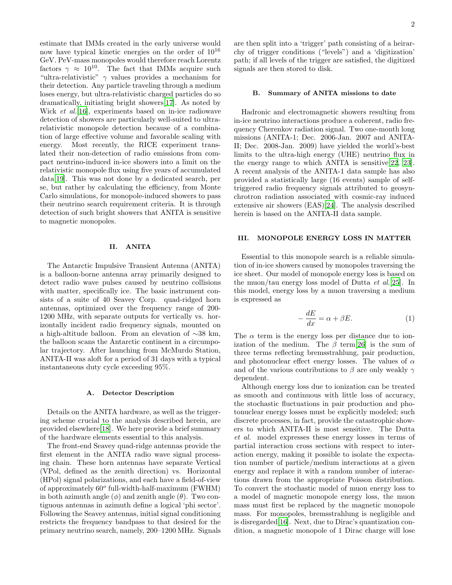estimate that IMMs created in the early universe would now have typical kinetic energies on the order of  $10^{16}$ GeV. PeV-mass monopoles would therefore reach Lorentz factors  $\gamma \approx 10^{10}$ . The fact that IMMs acquire such "ultra-relativistic"  $\gamma$  values provides a mechanism for their detection. Any particle traveling through a medium loses energy, but ultra-relativistic charged particles do so dramatically, initiating bright showers[\[17](#page-9-14)]. As noted by Wick *et al.*[\[16\]](#page-9-13), experiments based on in-ice radiowave detection of showers are particularly well-suited to ultrarelativistic monopole detection because of a combination of large effective volume and favorable scaling with energy. Most recently, the RICE experiment translated their non-detection of radio emissions from compact neutrino-induced in-ice showers into a limit on the relativistic monopole flux using five years of accumulated data[\[19](#page-9-15)]. This was not done by a dedicated search, per se, but rather by calculating the efficiency, from Monte Carlo simulations, for monopole-induced showers to pass their neutrino search requirement criteria. It is through detection of such bright showers that ANITA is sensitive to magnetic monopoles.

### II. ANITA

The Antarctic Impulsive Transient Antenna (ANITA) is a balloon-borne antenna array primarily designed to detect radio wave pulses caused by neutrino collisions with matter, specifically ice. The basic instrument consists of a suite of 40 Seavey Corp. quad-ridged horn antennas, optimized over the frequency range of 200- 1200 MHz, with separate outputs for vertically vs. horizontally incident radio frequency signals, mounted on a high-altitude balloon. From an elevation of ∼38 km, the balloon scans the Antarctic continent in a circumpolar trajectory. After launching from McMurdo Station, ANITA-II was aloft for a period of 31 days with a typical instantaneous duty cycle exceeding 95%.

### A. Detector Description

Details on the ANITA hardware, as well as the triggering scheme crucial to the analysis described herein, are provided elsewhere[\[18\]](#page-9-16). We here provide a brief summary of the hardware elements essential to this analysis.

The front-end Seavey quad-ridge antennas provide the first element in the ANITA radio wave signal processing chain. These horn antennas have separate Vertical (VPol, defined as the zenith direction) vs. Horizontal (HPol) signal polarizations, and each have a field-of-view of approximately  $60^o$  full-width-half-maximum (FWHM) in both azimuth angle  $(\phi)$  and zenith angle  $(\theta)$ . Two contiguous antennas in azimuth define a logical 'phi sector'. Following the Seavey antennas, initial signal conditioning restricts the frequency bandpass to that desired for the primary neutrino search, namely, 200–1200 MHz. Signals

are then split into a 'trigger' path consisting of a heirarchy of trigger conditions ("levels") and a 'digitization' path; if all levels of the trigger are satisfied, the digitized signals are then stored to disk.

### B. Summary of ANITA missions to date

Hadronic and electromagnetic showers resulting from in-ice neutrino interactions produce a coherent, radio frequency Cherenkov radiation signal. Two one-month long missions (ANITA-1; Dec. 2006-Jan. 2007 and ANITA-II; Dec. 2008-Jan. 2009) have yielded the world's-best limits to the ultra-high energy (UHE) neutrino flux in the energy range to which ANITA is sensitive[\[22](#page-9-17), [23\]](#page-9-18). A recent analysis of the ANITA-1 data sample has also provided a statistically large (16 events) sample of selftriggered radio frequency signals attributed to geosynchrotron radiation associated with cosmic-ray induced extensive air showers (EAS)[\[24\]](#page-9-19). The analysis described herein is based on the ANITA-II data sample.

### III. MONOPOLE ENERGY LOSS IN MATTER

Essential to this monopole search is a reliable simulation of in-ice showers caused by monopoles traversing the ice sheet. Our model of monopole energy loss is based on the muon/tau energy loss model of Dutta et al.[\[25](#page-9-20)]. In this model, energy loss by a muon traversing a medium is expressed as

$$
-\frac{dE}{dx} = \alpha + \beta E. \tag{1}
$$

The  $\alpha$  term is the energy loss per distance due to ionization of the medium. The  $\beta$  term[\[26](#page-9-21)] is the sum of three terms reflecting bremsstrahlung, pair production, and photonuclear effect energy losses. The values of  $\alpha$ and of the various contributions to  $\beta$  are only weakly  $\gamma$ dependent.

Although energy loss due to ionization can be treated as smooth and continuous with little loss of accuracy, the stochastic fluctuations in pair production and photonuclear energy losses must be explicitly modeled; such discrete processes, in fact, provide the catastrophic showers to which ANITA-II is most sensitive. The Dutta et al. model expresses these energy losses in terms of partial interaction cross sections with respect to interaction energy, making it possible to isolate the expectation number of particle/medium interactions at a given energy and replace it with a random number of interactions drawn from the appropriate Poisson distribution. To convert the stochastic model of muon energy loss to a model of magnetic monopole energy loss, the muon mass must first be replaced by the magnetic monopole mass. For monopoles, bremsstrahlung is negligible and is disregarded[\[16\]](#page-9-13). Next, due to Dirac's quantization condition, a magnetic monopole of 1 Dirac charge will lose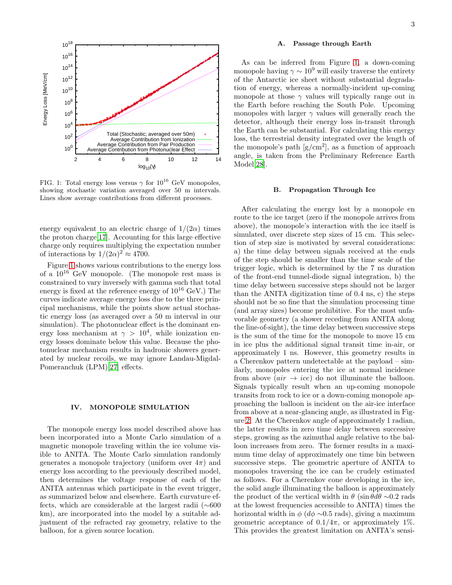

<span id="page-2-0"></span>FIG. 1: Total energy loss versus  $\gamma$  for  $10^{16}$  GeV monopoles, showing stochastic variation averaged over 50 m intervals. Lines show average contributions from different processes.

energy equivalent to an electric charge of  $1/(2\alpha)$  times the proton charge[\[17\]](#page-9-14). Accounting for this large effective charge only requires multiplying the expectation number of interactions by  $1/(2\alpha)^2 \approx 4700$ .

Figure [1](#page-2-0) shows various contributions to the energy loss of a  $10^{16}$  GeV monopole. (The monopole rest mass is constrained to vary inversely with gamma such that total energy is fixed at the reference energy of  $10^{16}$  GeV.) The curves indicate average energy loss due to the three principal mechanisms, while the points show actual stochastic energy loss (as averaged over a 50 m interval in our simulation). The photonuclear effect is the dominant energy loss mechanism at  $\gamma > 10^4$ , while ionization energy losses dominate below this value. Because the photonuclear mechanism results in hadronic showers generated by nuclear recoils, we may ignore Landau-Migdal-Pomeranchuk (LPM)[\[27\]](#page-9-22) effects.

### IV. MONOPOLE SIMULATION

The monopole energy loss model described above has been incorporated into a Monte Carlo simulation of a magnetic monopole traveling within the ice volume visible to ANITA. The Monte Carlo simulation randomly generates a monopole trajectory (uniform over  $4\pi$ ) and energy loss according to the previously described model, then determines the voltage response of each of the ANITA antennas which participate in the event trigger, as summarized below and elsewhere. Earth curvature effects, which are considerable at the largest radii (∼600 km), are incorporated into the model by a suitable adjustment of the refracted ray geometry, relative to the balloon, for a given source location.

### A. Passage through Earth

As can be inferred from Figure [1,](#page-2-0) a down-coming monopole having  $\gamma \sim 10^9$  will easily traverse the entirety of the Antarctic ice sheet without substantial degradation of energy, whereas a normally-incident up-coming monopole at those  $\gamma$  values will typically range out in the Earth before reaching the South Pole. Upcoming monopoles with larger  $\gamma$  values will generally reach the detector, although their energy loss in-transit through the Earth can be substantial. For calculating this energy loss, the terrestrial density integrated over the length of the monopole's path  $[g/cm^2]$ , as a function of approach angle, is taken from the Preliminary Reference Earth Model[\[28\]](#page-9-23).

### B. Propagation Through Ice

After calculating the energy lost by a monopole en route to the ice target (zero if the monopole arrives from above), the monopole's interaction with the ice itself is simulated, over discrete step sizes of 15 cm. This selection of step size is motivated by several considerations: a) the time delay between signals received at the ends of the step should be smaller than the time scale of the trigger logic, which is determined by the 7 ns duration of the front-end tunnel-diode signal integration, b) the time delay between successive steps should not be larger than the ANITA digitization time of 0.4 ns, c) the steps should not be so fine that the simulation processing time (and array sizes) become prohibitive. For the most unfavorable geometry (a shower receding from ANITA along the line-of-sight), the time delay between successive steps is the sum of the time for the monopole to move 15 cm in ice plus the additional signal transit time in-air, or approximately 1 ns. However, this geometry results in a Cherenkov pattern undetectable at the payload – similarly, monopoles entering the ice at normal incidence from above  $air \rightarrow ice$ ) do not illuminate the balloon. Signals typically result when an up-coming monopole transits from rock to ice or a down-coming monopole approaching the balloon is incident on the air-ice interface from above at a near-glancing angle, as illustrated in Figure [2.](#page-3-0) At the Cherenkov angle of approximately 1 radian, the latter results in zero time delay between successive steps, growing as the azimuthal angle relative to the balloon increases from zero. The former results in a maximum time delay of approximately one time bin between successive steps. The geometric aperture of ANITA to monopoles traversing the ice can be crudely estimated as follows. For a Cherenkov cone developing in the ice, the solid angle illuminating the balloon is approximately the product of the vertical width in  $\theta$  (sin  $\theta d\theta \sim 0.2$  rads at the lowest frequencies accessible to ANITA) times the horizontal width in  $\phi$  ( $d\phi \sim 0.5$  rads), giving a maximum geometric acceptance of  $0.1/4\pi$ , or approximately 1%. This provides the greatest limitation on ANITA's sensi-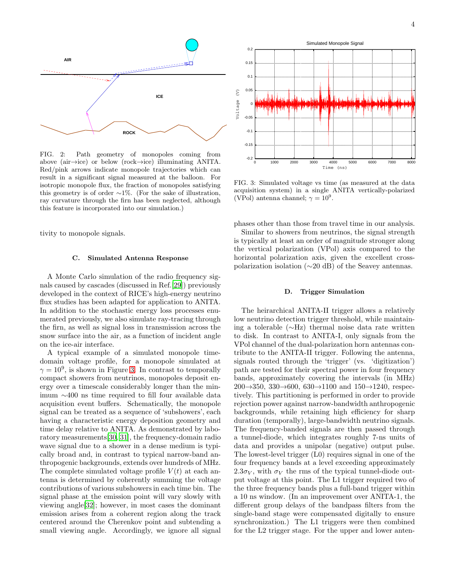

<span id="page-3-0"></span>FIG. 2: Path geometry of monopoles coming from above (air→ice) or below (rock→ice) illuminating ANITA. Red/pink arrows indicate monopole trajectories which can result in a significant signal measured at the balloon. For isotropic monopole flux, the fraction of monopoles satisfying this geometry is of order  $\sim$ 1%. (For the sake of illustration, ray curvature through the firn has been neglected, although this feature is incorporated into our simulation.)

tivity to monopole signals.

### C. Simulated Antenna Response

A Monte Carlo simulation of the radio frequency signals caused by cascades (discussed in Ref.[\[29\]](#page-9-24)) previously developed in the context of RICE's high-energy neutrino flux studies has been adapted for application to ANITA. In addition to the stochastic energy loss processes enumerated previously, we also simulate ray-tracing through the firn, as well as signal loss in transmission across the snow surface into the air, as a function of incident angle on the ice-air interface.

A typical example of a simulated monopole timedomain voltage profile, for a monopole simulated at  $\gamma = 10^9$ , is shown in Figure [3.](#page-3-1) In contrast to temporally compact showers from neutrinos, monopoles deposit energy over a timescale considerably longer than the minimum ∼400 ns time required to fill four available data acquisition event buffers. Schematically, the monopole signal can be treated as a sequence of 'subshowers', each having a characteristic energy deposition geometry and time delay relative to ANITA. As demonstrated by laboratory measurements[\[30,](#page-9-25) [31\]](#page-9-26), the frequency-domain radio wave signal due to a shower in a dense medium is typically broad and, in contrast to typical narrow-band anthropogenic backgrounds, extends over hundreds of MHz. The complete simulated voltage profile  $V(t)$  at each antenna is determined by coherently summing the voltage contributions of various subshowers in each time bin. The signal phase at the emission point will vary slowly with viewing angle[\[32](#page-9-27)]; however, in most cases the dominant emission arises from a coherent region along the track centered around the Cherenkov point and subtending a small viewing angle. Accordingly, we ignore all signal



<span id="page-3-1"></span>FIG. 3: Simulated voltage vs time (as measured at the data acquisition system) in a single ANITA vertically-polarized (VPol) antenna channel;  $\gamma = 10^9$ .

phases other than those from travel time in our analysis.

Similar to showers from neutrinos, the signal strength is typically at least an order of magnitude stronger along the vertical polarization (VPol) axis compared to the horizontal polarization axis, given the excellent crosspolarization isolation (∼20 dB) of the Seavey antennas.

### D. Trigger Simulation

The heirarchical ANITA-II trigger allows a relatively low neutrino detection trigger threshold, while maintaining a tolerable (∼Hz) thermal noise data rate written to disk. In contrast to ANITA-I, only signals from the VPol channel of the dual-polarization horn antennas contribute to the ANITA-II trigger. Following the antenna, signals routed through the 'trigger' (vs. 'digitization') path are tested for their spectral power in four frequency bands, approximately covering the intervals (in MHz) 200→350, 330→600, 630→1100 and 150→1240, respectively. This partitioning is performed in order to provide rejection power against narrow-bandwidth anthropogenic backgrounds, while retaining high efficiency for sharp duration (temporally), large-bandwidth neutrino signals. The frequency-banded signals are then passed through a tunnel-diode, which integrates roughly 7-ns units of data and provides a unipolar (negative) output pulse. The lowest-level trigger (L0) requires signal in one of the four frequency bands at a level exceeding approximately  $2.3\sigma_V$ , with  $\sigma_V$  the rms of the typical tunnel-diode output voltage at this point. The L1 trigger required two of the three frequency bands plus a full-band trigger within a 10 ns window. (In an improvement over ANITA-1, the different group delays of the bandpass filters from the single-band stage were compensated digitally to ensure synchronization.) The L1 triggers were then combined for the L2 trigger stage. For the upper and lower anten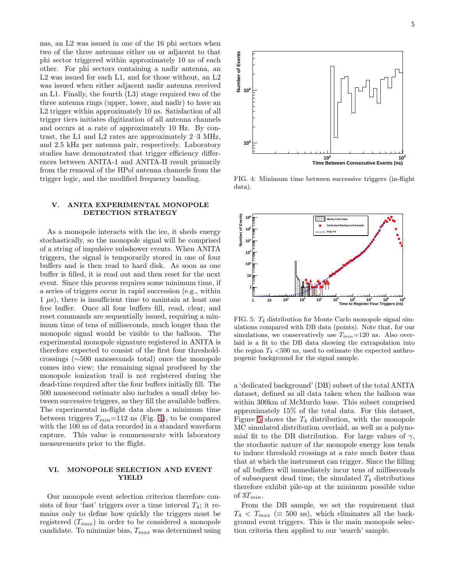nas, an L2 was issued in one of the 16 phi sectors when two of the three antennas either on or adjacent to that phi sector triggered within approximately 10 ns of each other. For phi sectors containing a nadir antenna, an L2 was issued for each L1, and for those without, an L2 was issued when either adjacent nadir antenna received an L1. Finally, the fourth (L3) stage required two of the three antenna rings (upper, lower, and nadir) to have an L2 trigger within approximately 10 ns. Satisfaction of all trigger tiers initiates digitization of all antenna channels and occurs at a rate of approximately 10 Hz. By contrast, the L1 and L2 rates are approximately 2–3 MHz, and 2.5 kHz per antenna pair, respectively. Laboratory studies have demonstrated that trigger efficiency differences between ANITA-1 and ANITA-II result primarily from the removal of the HPol antenna channels from the trigger logic, and the modified frequency banding.

### V. ANITA EXPERIMENTAL MONOPOLE DETECTION STRATEGY

As a monopole interacts with the ice, it sheds energy stochastically, so the monopole signal will be comprised of a string of impulsive subshower events. When ANITA triggers, the signal is temporarily stored in one of four buffers and is then read to hard disk. As soon as one buffer is filled, it is read out and then reset for the next event. Since this process requires some minimum time, if a series of triggers occur in rapid succession (e.g., within  $1 \mu s$ , there is insufficient time to maintain at least one free buffer. Once all four buffers fill, read, clear, and reset commands are sequentially issued, requiring a minimum time of tens of milliseconds, much longer than the monopole signal would be visible to the balloon. The experimental monopole signature registered in ANITA is therefore expected to consist of the first four thresholdcrossings (∼500 nanoseconds total) once the monopole comes into view; the remaining signal produced by the monopole ionization trail is not registered during the dead-time required after the four buffers initially fill. The 500 nanosecond estimate also includes a small delay between successive triggers, as they fill the available buffers. The experimental in-flight data show a minimum time between triggers  $T_{min}=112$  ns (Fig. [4\)](#page-4-0), to be compared with the 100 ns of data recorded in a standard waveform capture. This value is commensurate with laboratory measurements prior to the flight.

### VI. MONOPOLE SELECTION AND EVENT YIELD

Our monopole event selection criterion therefore consists of four 'fast' triggers over a time interval  $T_4$ ; it remains only to define how quickly the triggers must be registered  $(T_{max})$  in order to be considered a monopole candidate. To minimize bias,  $T_{max}$  was determined using



<span id="page-4-0"></span>FIG. 4: Minimum time between successive triggers (in-flight data).



<span id="page-4-1"></span>FIG. 5:  $T_4$  distribution for Monte Carlo monopole signal simulations compared with DB data (points). Note that, for our simulations, we conservatively use  $T_{min}=120$  ns. Also overlaid is a fit to the DB data showing the extrapolation into the region  $T_4$  <500 ns, used to estimate the expected anthropogenic background for the signal sample.

a 'dedicated background' (DB) subset of the total ANITA dataset, defined as all data taken when the balloon was within 300km of McMurdo base. This subset comprised approximately 15% of the total data. For this dataset, Figure [5](#page-4-1) shows the  $T_4$  distribution, with the monopole MC simulated distribution overlaid, as well as a polynomial fit to the DB distribution. For large values of  $\gamma$ , the stochastic nature of the monopole energy loss tends to induce threshold crossings at a rate much faster than that at which the instrument can trigger. Since the filling of all buffers will immediately incur tens of milliseconds of subsequent dead time, the simulated  $T_4$  distributions therefore exhibit pile-up at the minimum possible value of  $3T_{min}$ .

From the DB sample, we set the requirement that  $T_4 < T_{max}$  ( $\equiv$  500 ns), which eliminates all the background event triggers. This is the main monopole selection criteria then applied to our 'search' sample.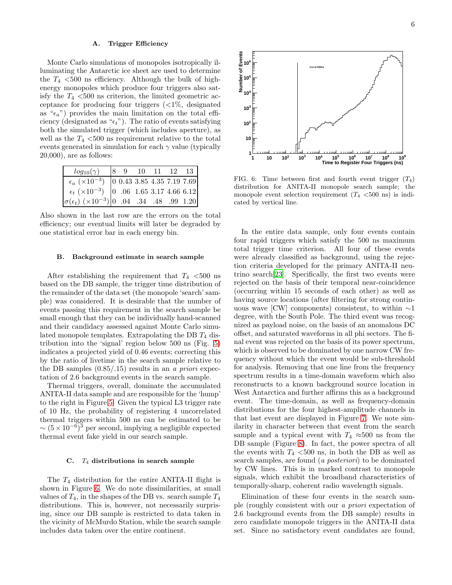### A. Trigger Efficiency

Monte Carlo simulations of monopoles isotropically illuminating the Antarctic ice sheet are used to determine the  $T_4$  <500 ns efficiency. Although the bulk of highenergy monopoles which produce four triggers also satisfy the  $T_4$  <500 ns criterion, the limited geometric acceptance for producing four triggers  $\langle \langle 1 \rangle^{\dagger}$ , designated as " $\epsilon_a$ ") provides the main limitation on the total efficiency (designated as " $\epsilon_t$ "). The ratio of events satisfying both the simulated trigger (which includes aperture), as well as the  $T_4$  <500 ns requirement relative to the total events generated in simulation for each  $\gamma$  value (typically 20,000), are as follows:

| $log_{10}(\gamma)$                                                                                                                                                    |  |  | $\begin{vmatrix} 8 & 9 & 10 & 11 & 12 & 13 \end{vmatrix}$ |
|-----------------------------------------------------------------------------------------------------------------------------------------------------------------------|--|--|-----------------------------------------------------------|
| $\begin{tabular}{c c c} $\epsilon_a$ & $\times 10^{-3}$ & 0 0.43 3.85 4.35 7.19 7.69 $ \\ $\epsilon_t$ & $\times 10^{-3}$ & 0 0.6 1.65 3.17 4.66 6.12 $\end{tabular}$ |  |  |                                                           |
|                                                                                                                                                                       |  |  |                                                           |
| $\sigma(\epsilon_t)$ (×10 <sup>-3</sup> ) 0 .04 .34 .48 .99 1.20                                                                                                      |  |  |                                                           |

Also shown in the last row are the errors on the total efficiency; our eventual limits will later be degraded by one statistical error bar in each energy bin.

### B. Background estimate in search sample

After establishing the requirement that  $T_4$  <500 ns based on the DB sample, the trigger time distribution of the remainder of the data set (the monopole 'search' sample) was considered. It is desirable that the number of events passing this requirement in the search sample be small enough that they can be individually hand-scanned and their candidacy assessed against Monte Carlo simulated monopole templates. Extrapolating the DB  $T_4$  distribution into the 'signal' region below 500 ns (Fig. [5\)](#page-4-1) indicates a projected yield of 0.46 events; correcting this by the ratio of livetime in the search sample relative to the DB samples  $(0.85/0.15)$  results in an a priori expectation of 2.6 background events in the search sample.

Thermal triggers, overall, dominate the accumulated ANITA-II data sample and are responsible for the 'hump' to the right in Figure [5.](#page-4-1) Given the typical L3 trigger rate of 10 Hz, the probability of registering 4 uncorrelated thermal triggers within 500 ns can be estimated to be  $\sim (5 \times 10^{-6})^3$  per second, implying a negligible expected thermal event fake yield in our search sample.

# C.  $T_4$  distributions in search sample

The  $T_4$  distribution for the entire ANITA-II flight is shown in Figure [6.](#page-5-0) We do note dissimilarities, at small values of  $T_4$ , in the shapes of the DB vs. search sample  $T_4$ distributions. This is, however, not necessarily surprising, since our DB sample is restricted to data taken in the vicinity of McMurdo Station, while the search sample includes data taken over the entire continent.



<span id="page-5-0"></span>FIG. 6: Time between first and fourth event trigger  $(T_4)$ distribution for ANITA-II monopole search sample; the monopole event selection requirement  $(T_4$  <500 ns) is indicated by vertical line.

In the entire data sample, only four events contain four rapid triggers which satisfy the 500 ns maximum total trigger time criterion. All four of these events were already classified as background, using the rejection criteria developed for the primary ANITA-II neutrino search[\[23\]](#page-9-18). Specifically, the first two events were rejected on the basis of their temporal near-coincidence (occurring within 15 seconds of each other) as well as having source locations (after filtering for strong continuous wave [CW] components) consistent, to within  $\sim$ 1 degree, with the South Pole. The third event was recognized as payload noise, on the basis of an anomalous DC offset, and saturated waveforms in all phi sectors. The final event was rejected on the basis of its power spectrum, which is observed to be dominated by one narrow CW frequency without which the event would be sub-threshold for analysis. Removing that one line from the frequency spectrum results in a time-domain waveform which also reconstructs to a known background source location in West Antarctica and further affirms this as a background event. The time-domain, as well as frequency-domain distributions for the four highest-amplitude channels in that last event are displayed in Figure [7.](#page-6-0) We note similarity in character between that event from the search sample and a typical event with  $T_4 \approx 500$  ns from the DB sample (Figure [8\)](#page-6-1). In fact, the power spectra of all the events with  $T_4$  <500 ns, in both the DB as well as search samples, are found (a posteriori) to be dominated by CW lines. This is in marked contrast to monopole signals, which exhibit the broadband characteristics of temporally-sharp, coherent radio wavelength signals.

Elimination of these four events in the search sample (roughly consistent with our a priori expectation of 2.6 background events from the DB sample) results in zero candidate monopole triggers in the ANITA-II data set. Since no satisfactory event candidates are found,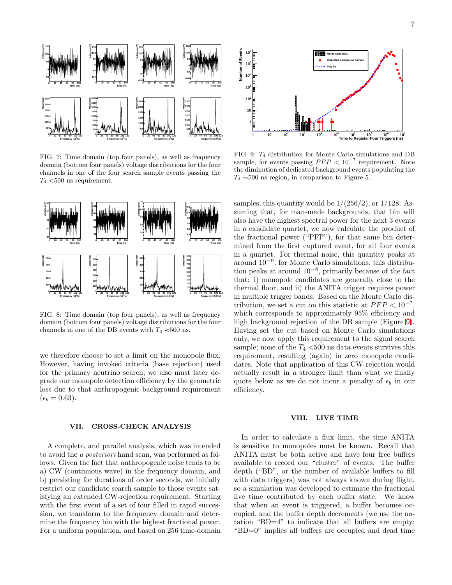

<span id="page-6-0"></span>FIG. 7: Time domain (top four panels), as well as frequency domain (bottom four panels) voltage distributions for the four channels in one of the four search sample events passing the  $T_4$  <500 ns requirement.



<span id="page-6-1"></span>FIG. 8: Time domain (top four panels), as well as frequency domain (bottom four panels) voltage distributions for the four channels in one of the DB events with  $T_4 \approx 500$  ns.

we therefore choose to set a limit on the monopole flux. However, having invoked criteria (base rejection) used for the primary neutrino search, we also must later degrade our monopole detection efficiency by the geometric loss due to that anthropogenic background requirement  $(\epsilon_b = 0.63).$ 

### VII. CROSS-CHECK ANALYSIS

A complete, and parallel analysis, which was intended to avoid the a posteriori hand scan, was performed as follows. Given the fact that anthropogenic noise tends to be a) CW (continuous wave) in the frequency domain, and b) persisting for durations of order seconds, we initially restrict our candidate search sample to those events satisfying an extended CW-rejection requirement. Starting with the first event of a set of four filled in rapid succession, we transform to the frequency domain and determine the frequency bin with the highest fractional power. For a uniform population, and based on 256 time-domain



<span id="page-6-2"></span>FIG. 9: T<sup>4</sup> distribution for Monte Carlo simulations and DB sample, for events passing  $PFP < 10^{-7}$  requirement. Note the diminution of dedicated background events populating the  $T_4 \sim 500$  ns region, in comparison to Figure 5.

samples, this quantity would be  $1/(256/2)$ , or  $1/128$ . Assuming that, for man-made backgrounds, that bin will also have the highest spectral power for the next 3 events in a candidate quartet, we now calculate the product of the fractional power ("PFP"), for that same bin determined from the first captured event, for all four events in a quartet. For thermal noise, this quantity peaks at around 10<sup>−</sup><sup>9</sup> , for Monte Carlo simulations, this distribution peaks at around 10<sup>−</sup><sup>8</sup> , primarily because of the fact that: i) monopole candidates are generally close to the thermal floor, and ii) the ANITA trigger requires power in multiple trigger bands. Based on the Monte Carlo distribution, we set a cut on this statistic at  $PFP < 10^{-7}$ , which corresponds to approximately 95% efficiency and high background rejection of the DB sample (Figure [9\)](#page-6-2). Having set the cut based on Monte Carlo simulations only, we now apply this requirement to the signal search sample; none of the  $T_4$  <500 ns data events survives this requirement, resulting (again) in zero monopole candidates. Note that application of this CW-rejection would actually result in a stronger limit than what we finally quote below as we do not incur a penalty of  $\epsilon_b$  in our efficiency.

### VIII. LIVE TIME

In order to calculate a flux limit, the time ANITA is sensitive to monopoles must be known. Recall that ANITA must be both active and have four free buffers available to record our "cluster" of events. The buffer depth ("BD", or the number of available buffers to fill with data triggers) was not always known during flight, so a simulation was developed to estimate the fractional live time contributed by each buffer state. We know that when an event is triggered, a buffer becomes occupied, and the buffer depth decrements (we use the notation "BD=4" to indicate that all buffers are empty; "BD=0" implies all buffers are occupied and dead time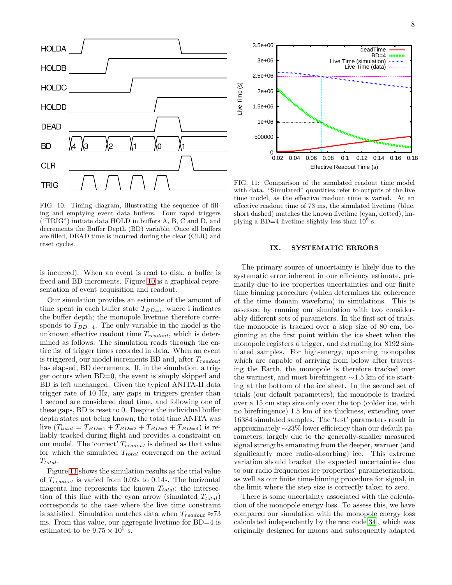

<span id="page-7-0"></span>FIG. 10: Timing diagram, illustrating the sequence of filling and emptying event data buffers. Four rapid triggers ("TRIG") initiate data HOLD in buffers A, B, C and D, and decrements the Buffer Depth (BD) variable. Once all buffers are filled, DEAD time is incurred during the clear (CLR) and reset cycles.

is incurred). When an event is read to disk, a buffer is freed and BD increments. Figure [10](#page-7-0) is a graphical representation of event acquisition and readout.

Our simulation provides an estimate of the amount of time spent in each buffer state  $T_{BD=i}$ , where i indicates the buffer depth; the monopole livetime therefore corresponds to  $T_{BD=4}$ . The only variable in the model is the unknown effective readout time  $T_{readout}$ , which is determined as follows. The simulation reads through the entire list of trigger times recorded in data. When an event is triggered, our model increments BD and, after  $T_{readout}$ has elapsed, BD decrements. If, in the simulation, a trigger occurs when BD=0, the event is simply skipped and BD is left unchanged. Given the typical ANITA-II data trigger rate of 10 Hz, any gaps in triggers greater than 1 second are considered dead time, and following one of these gaps, BD is reset to 0. Despite the individual buffer depth states not being known, the total time ANITA was live  $(T_{total} = T_{BD=1} + T_{BD=2} + T_{BD=3} + T_{BD=4})$  is reliably tracked during flight and provides a constraint on our model. The 'correct'  $T_{readout}$  is defined as that value for which the simulated  $T_{total}$  converged on the actual  $T_{total}.$ 

Figure [11](#page-7-1) shows the simulation results as the trial value of  $T_{readout}$  is varied from 0.02s to 0.14s. The horizontal magenta line represents the known  $T_{total}$ ; the intersection of this line with the cyan arrow (simulated  $T_{total}$ ) corresponds to the case where the live time constraint is satisfied. Simulation matches data when  $T_{readout} \approx 73$ ms. From this value, our aggregate livetime for BD=4 is estimated to be  $9.75 \times 10^5$  s.



<span id="page-7-1"></span>FIG. 11: Comparison of the simulated readout time model with data. "Simulated" quantities refer to outputs of the live time model, as the effective readout time is varied. At an effective readout time of 73 ms, the simulated livetime (blue, short dashed) matches the known livetime (cyan, dotted), implying a BD=4 livetime slightly less than  $10^6$  s.

### IX. SYSTEMATIC ERRORS

The primary source of uncertainty is likely due to the systematic error inherent in our efficiency estimate, primarily due to ice properties uncertainties and our finite time binning procedure (which determines the coherence of the time domain waveform) in simulations. This is assessed by running our simulation with two considerably different sets of parameters. In the first set of trials, the monopole is tracked over a step size of 80 cm, beginning at the first point within the ice sheet when the monopole registers a trigger, and extending for 8192 simulated samples. For high-energy, upcoming monopoles which are capable of arriving from below after traversing the Earth, the monopole is therefore tracked over the warmest, and most birefringent ∼1.5 km of ice starting at the bottom of the ice sheet. In the second set of trials (our default parameters), the monopole is tracked over a 15 cm step size only over the top (colder ice, with no birefringence) 1.5 km of ice thickness, extending over 16384 simulated samples. The 'test' parameters result in approximately ∼23% lower efficiency than our default parameters, largely due to the generally-smaller measured signal strengths emanating from the deeper, warmer (and significantly more radio-absorbing) ice. This extreme variation should bracket the expected uncertainties due to our radio frequencies ice properties' parameterization, as well as our finite time-binning procedure for signal, in the limit where the step size is correctly taken to zero.

There is some uncertainty associated with the calculation of the monopole energy loss. To assess this, we have compared our simulation with the monopole energy loss calculated independently by the mmc code[\[34\]](#page-10-0), which was originally designed for muons and subsequently adapted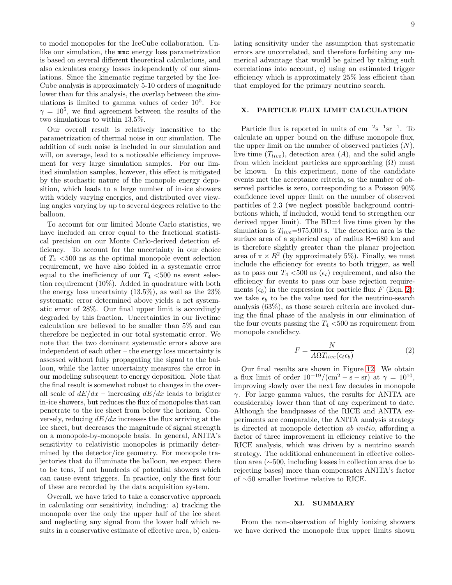to model monopoles for the IceCube collaboration. Unlike our simulation, the mmc energy loss parametrization is based on several different theoretical calculations, and also calculates energy losses independently of our simulations. Since the kinematic regime targeted by the Ice-Cube analysis is approximately 5-10 orders of magnitude lower than for this analysis, the overlap between the simulations is limited to gamma values of order 10<sup>5</sup> . For  $\gamma = 10^5$ , we find agreement between the results of the two simulations to within 13.5%.

Our overall result is relatively insensitive to the parametrization of thermal noise in our simulation. The addition of such noise is included in our simulation and will, on average, lead to a noticeable efficiency improvement for very large simulation samples. For our limited simulation samples, however, this effect is mitigated by the stochastic nature of the monopole energy deposition, which leads to a large number of in-ice showers with widely varying energies, and distributed over viewing angles varying by up to several degrees relative to the balloon.

To account for our limited Monte Carlo statistics, we have included an error equal to the fractional statistical precision on our Monte Carlo-derived detection efficiency. To account for the uncertainty in our choice of  $T_4$  <500 ns as the optimal monopole event selection requirement, we have also folded in a systematic error equal to the inefficiency of our  $T_4$  <500 ns event selection requirement (10%). Added in quadrature with both the energy loss uncertainty  $(13.5\%)$ , as well as the  $23\%$ systematic error determined above yields a net systematic error of 28%. Our final upper limit is accordingly degraded by this fraction. Uncertainties in our livetime calculation are believed to be smaller than 5% and can therefore be neglected in our total systematic error. We note that the two dominant systematic errors above are independent of each other – the energy loss uncertainty is assessed without fully propagating the signal to the balloon, while the latter uncertainty measures the error in our modeling subsequent to energy deposition. Note that the final result is somewhat robust to changes in the overall scale of  $dE/dx$  – increasing  $dE/dx$  leads to brighter in-ice showers, but reduces the flux of monopoles that can penetrate to the ice sheet from below the horizon. Conversely, reducing  $dE/dx$  increases the flux arriving at the ice sheet, but decreases the magnitude of signal strength on a monopole-by-monopole basis. In general, ANITA's sensitivity to relativistic monopoles is primarily determined by the detector/ice geometry. For monopole trajectories that do illuminate the balloon, we expect there to be tens, if not hundreds of potential showers which can cause event triggers. In practice, only the first four of these are recorded by the data acquisition system.

Overall, we have tried to take a conservative approach in calculating our sensitivity, including: a) tracking the monopole over the only the upper half of the ice sheet and neglecting any signal from the lower half which results in a conservative estimate of effective area, b) calcu9

lating sensitivity under the assumption that systematic errors are uncorrelated, and therefore forfeiting any numerical advantage that would be gained by taking such correlations into account, c) using an estimated trigger efficiency which is approximately 25% less efficient than that employed for the primary neutrino search.

# X. PARTICLE FLUX LIMIT CALCULATION

Particle flux is reported in units of  $\text{cm}^{-2}\text{s}^{-1}\text{sr}^{-1}$ . To calculate an upper bound on the diffuse monopole flux, the upper limit on the number of observed particles  $(N)$ , live time  $(T_{live})$ , detection area  $(A)$ , and the solid angle from which incident particles are approaching  $(\Omega)$  must be known. In this experiment, none of the candidate events met the acceptance criteria, so the number of observed particles is zero, corresponding to a Poisson 90% confidence level upper limit on the number of observed particles of 2.3 (we neglect possible background contributions which, if included, would tend to strengthen our derived upper limit). The BD=4 live time given by the simulation is  $T_{live}=975,000$  s. The detection area is the surface area of a spherical cap of radius R=680 km and is therefore slightly greater than the planar projection area of  $\pi \times R^2$  (by approximately 5%). Finally, we must include the efficiency for events to both trigger, as well as to pass our  $T_4$  <500 ns ( $\epsilon_t$ ) requirement, and also the efficiency for events to pass our base rejection requirements  $(\epsilon_b)$  in the expression for particle flux F (Eqn. [2\)](#page-8-0); we take  $\epsilon_b$  to be the value used for the neutrino-search analysis (63%), as those search criteria are invoked during the final phase of the analysis in our elimination of the four events passing the  $T_4$  <500 ns requirement from monopole candidacy.

<span id="page-8-0"></span>
$$
F = \frac{N}{A\Omega T_{live}(\epsilon_t \epsilon_b)}\tag{2}
$$

Our final results are shown in Figure [12.](#page-9-28) We obtain a flux limit of order  $10^{-19}/(\text{cm}^2 - \text{s} - \text{sr})$  at  $\gamma = 10^{10}$ , improving slowly over the next few decades in monopole  $\gamma$ . For large gamma values, the results for ANITA are considerably lower than that of any experiment to date. Although the bandpasses of the RICE and ANITA experiments are comparable, the ANITA analysis strategy is directed at monopole detection ab initio, affording a factor of three improvement in efficiency relative to the RICE analysis, which was driven by a neutrino search strategy. The additional enhancement in effective collection area (∼500, including losses in collection area due to rejecting bases) more than compensates ANITA's factor of ∼50 smaller livetime relative to RICE.

### XI. SUMMARY

From the non-observation of highly ionizing showers we have derived the monopole flux upper limits shown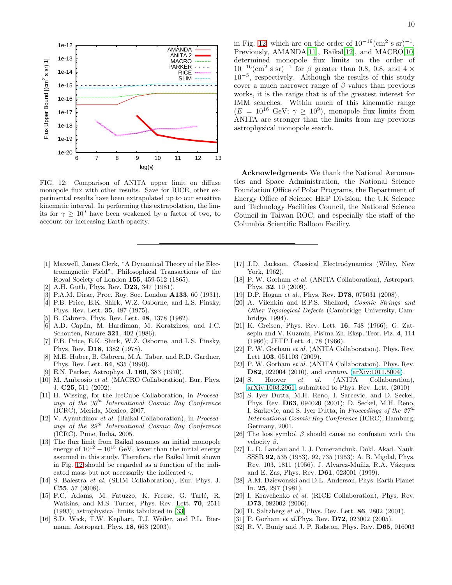

<span id="page-9-28"></span>FIG. 12: Comparison of ANITA upper limit on diffuse monopole flux with other results. Save for RICE, other experimental results have been extrapolated up to our sensitive kinematic interval. In performing this extrapolation, the limits for  $\gamma \geq 10^9$  have been weakened by a factor of two, to account for increasing Earth opacity.

- <span id="page-9-0"></span>[1] Maxwell, James Clerk, "A Dynamical Theory of the Electromagnetic Field", Philosophical Transactions of the Royal Society of London 155, 459-512 (1865).
- <span id="page-9-1"></span>[2] A.H. Guth, Phys. Rev. **D23**, 347 (1981).
- <span id="page-9-2"></span>[3] P.A.M. Dirac, Proc. Roy. Soc. London A133, 60 (1931).
- <span id="page-9-3"></span>[4] P.B. Price, E.K. Shirk, W.Z. Osborne, and L.S. Pinsky, Phys. Rev. Lett. 35, 487 (1975).
- [5] B. Cabrera, Phys. Rev. Lett. 48, 1378 (1982).
- <span id="page-9-4"></span>[6] A.D. Caplin, M. Hardiman, M. Koratzinos, and J.C. Schouten, Nature 321, 402 (1986).
- [7] P.B. Price, E.K. Shirk, W.Z. Osborne, and L.S. Pinsky, Phys. Rev. D18, 1382 (1978).
- <span id="page-9-5"></span>[8] M.E. Huber, B. Cabrera, M.A. Taber, and R.D. Gardner, Phys. Rev. Lett. 64, 835 (1990).
- <span id="page-9-6"></span>[9] E.N. Parker, Astrophys. J. 160, 383 (1970).
- <span id="page-9-7"></span>[10] M. Ambrosio *et al.* (MACRO Collaboration), Eur. Phys. J. C25, 511 (2002).
- <span id="page-9-8"></span>[11] H. Wissing, for the IceCube Collaboration, in Proceedings of the  $30<sup>th</sup>$  International Cosmic Ray Conference (ICRC), Merida, Mexico, 2007.
- <span id="page-9-9"></span>[12] V. Aynutdinov et al. (Baikal Collaboration), in Proceedings of the 29th International Cosmic Ray Conference (ICRC), Pune, India, 2005.
- <span id="page-9-10"></span>[13] The flux limit from Baikal assumes an initial monopole energy of  $10^{12} - 10^{15}$  GeV, lower than the initial energy assumed in this study. Therefore, the Baikal limit shown in Fig. [12](#page-9-28) should be regarded as a function of the indicated mass but not necessarily the indicated  $\gamma$ .
- <span id="page-9-11"></span>[14] S. Balestra *et al.* (SLIM Collaboration), Eur. Phys. J. C55, 57 (2008).
- <span id="page-9-12"></span>[15] F.C. Adams, M. Fatuzzo, K. Freese, G. Tarlé, R. Watkins, and M.S. Turner, Phys. Rev. Lett. 70, 2511 (1993); astrophysical limits tabulated in [\[33\]](#page-10-1)
- <span id="page-9-13"></span>[16] S.D. Wick, T.W. Kephart, T.J. Weiler, and P.L. Biermann, Astropart. Phys. 18, 663 (2003).

in Fig. [12,](#page-9-28) which are on the order of  $10^{-19}$ (cm<sup>2</sup> s sr)<sup>-1</sup>. Previously, AMANDA[\[11](#page-9-8)], Baikal[\[12](#page-9-9)], and MACRO[\[10\]](#page-9-7) determined monopole flux limits on the order of  $10^{-16}$ (cm<sup>2</sup> s sr)<sup>-1</sup> for  $\beta$  greater than 0.8, 0.8, and 4 × 10−<sup>5</sup> , respectively. Although the results of this study cover a much narrower range of  $\beta$  values than previous works, it is the range that is of the greatest interest for IMM searches. Within much of this kinematic range  $(E = 10^{16} \text{ GeV}; \gamma \geq 10^9)$ , monopole flux limits from ANITA are stronger than the limits from any previous astrophysical monopole search.

Acknowledgments We thank the National Aeronautics and Space Administration, the National Science Foundation Office of Polar Programs, the Department of Energy Office of Science HEP Division, the UK Science and Technology Facilities Council, the National Science Council in Taiwan ROC, and especially the staff of the Columbia Scientific Balloon Facility.

- <span id="page-9-14"></span>[17] J.D. Jackson, Classical Electrodynamics (Wiley, New York, 1962).
- <span id="page-9-16"></span>[18] P. W. Gorham et al. (ANITA Collaboration), Astropart. Phys. 32, 10 (2009).
- <span id="page-9-15"></span>[19] D.P. Hogan *et al.*, Phys. Rev. **D78**, 075031 (2008).
- [20] A. Vilenkin and E.P.S. Shellard, Cosmic Strings and Other Topological Defects (Cambridge University, Cambridge, 1994).
- [21] K. Greisen, Phys. Rev. Lett. 16, 748 (1966); G. Zatsepin and V. Kuzmin, Pis'ma Zh. Eksp. Teor. Fiz. 4, 114 (1966); JETP Lett. 4, 78 (1966).
- <span id="page-9-17"></span>[22] P. W. Gorham et al. (ANITA Collaboration), Phys. Rev. Lett 103, 051103 (2009).
- <span id="page-9-18"></span>[23] P. W. Gorham et al. (ANITA Collaboration), Phys. Rev. D82, 022004 (2010), and erratum [\(arXiv:1011.5004\)](http://arxiv.org/abs/1011.5004).
- <span id="page-9-19"></span>[24] S. Hoover et al. (ANITA Collaboration), [arXiv:1003.2961,](http://arxiv.org/abs/1003.2961) submitted to Phys. Rev. Lett. (2010)
- <span id="page-9-20"></span>[25] S. Iyer Dutta, M.H. Reno, I. Sarcevic, and D. Seckel, Phys. Rev. D63, 094020 (2001); D. Seckel, M.H. Reno, I. Sarkevic, and S. Iyer Dutta, in Proceedings of the  $27<sup>th</sup>$ International Cosmic Ray Conference (ICRC), Hamburg, Germany, 2001.
- <span id="page-9-21"></span>[26] The loss symbol  $\beta$  should cause no confusion with the velocity  $\beta$ .
- <span id="page-9-22"></span>[27] L. D. Landau and I. J. Pomeranchuk, Dokl. Akad. Nauk. SSSR 92, 535 (1953), 92, 735 (1953); A. B. Migdal, Phys. Rev. 103, 1811 (1956). J. Alvarez-Muñiz, R.A. Vázquez and E. Zas, Phys. Rev. D61, 023001 (1999).
- <span id="page-9-23"></span>[28] A.M. Dziewonski and D.L. Anderson, Phys. Earth Planet In. 25, 297 (1981).
- <span id="page-9-24"></span>[29] I. Kravchenko et al. (RICE Collaboration), Phys. Rev. D73, 082002 (2006).
- <span id="page-9-25"></span>[30] D. Saltzberg et al., Phys. Rev. Lett. 86, 2802 (2001).
- <span id="page-9-26"></span>[31] P. Gorham et al. Phys. Rev. D72, 023002 (2005).
- <span id="page-9-27"></span>[32] R. V. Buniy and J. P. Ralston, Phys. Rev. D65, 016003